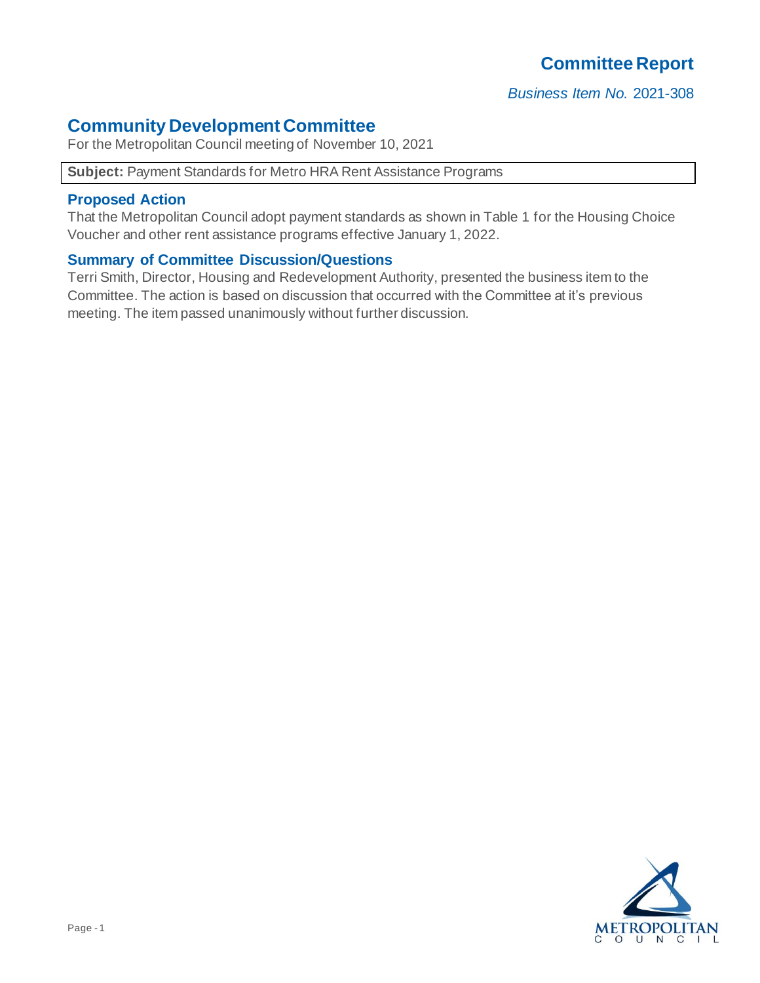# **Committee Report**

*Business Item No.* 2021-308

### **Community Development Committee**

For the Metropolitan Council meeting of November 10, 2021

#### **Subject:** Payment Standards for Metro HRA Rent Assistance Programs

#### **Proposed Action**

That the Metropolitan Council adopt payment standards as shown in Table 1 for the Housing Choice Voucher and other rent assistance programs effective January 1, 2022.

#### **Summary of Committee Discussion/Questions**

Terri Smith, Director, Housing and Redevelopment Authority, presented the business item to the Committee. The action is based on discussion that occurred with the Committee at it's previous meeting. The item passed unanimously without further discussion.

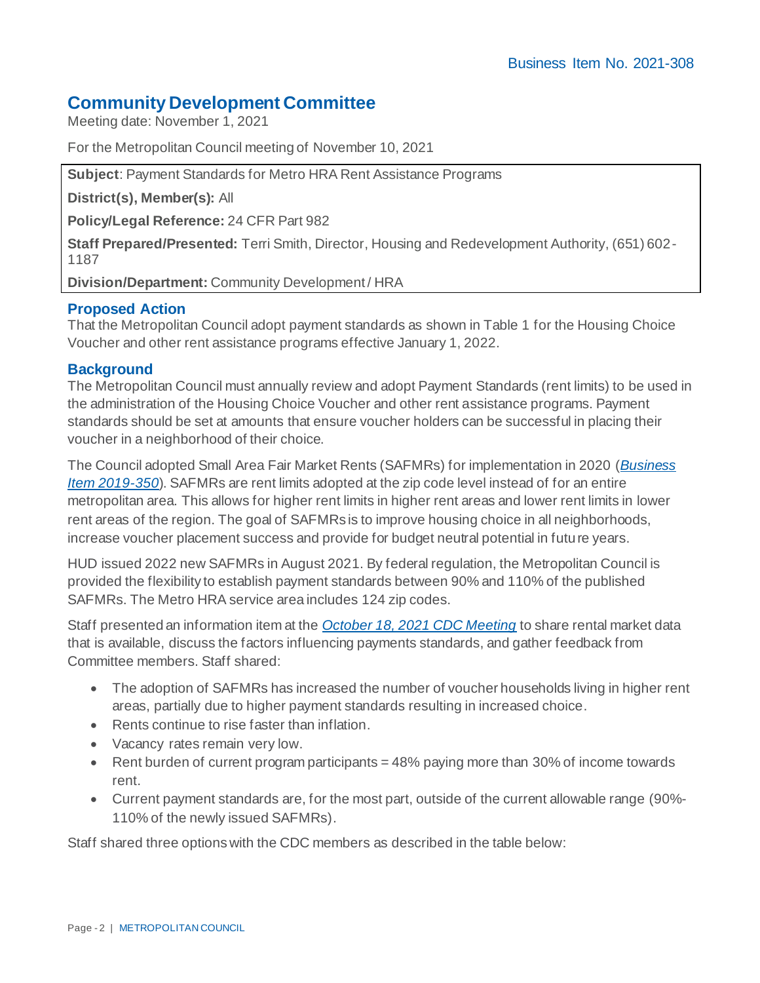## **Community Development Committee**

Meeting date: November 1, 2021

For the Metropolitan Council meeting of November 10, 2021

**Subject**: Payment Standards for Metro HRA Rent Assistance Programs

**District(s), Member(s):** All

**Policy/Legal Reference:** 24 CFR Part 982

**Staff Prepared/Presented:** Terri Smith, Director, Housing and Redevelopment Authority, (651) 602- 1187

**Division/Department:** Community Development / HRA

#### **Proposed Action**

That the Metropolitan Council adopt payment standards as shown in Table 1 for the Housing Choice Voucher and other rent assistance programs effective January 1, 2022.

#### **Background**

The Metropolitan Council must annually review and adopt Payment Standards (rent limits) to be used in the administration of the Housing Choice Voucher and other rent assistance programs. Payment standards should be set at amounts that ensure voucher holders can be successful in placing their voucher in a neighborhood of their choice.

The Council adopted Small Area Fair Market Rents (SAFMRs) for implementation in 2020 (*[Business](https://metrocouncil.org/Council-Meetings/Committees/Metropolitan-Council/2019/12-11-19/1211_2019_350.aspx)  [Item 2019-350](https://metrocouncil.org/Council-Meetings/Committees/Metropolitan-Council/2019/12-11-19/1211_2019_350.aspx)*). SAFMRs are rent limits adopted at the zip code level instead of for an entire metropolitan area. This allows for higher rent limits in higher rent areas and lower rent limits in lower rent areas of the region. The goal of SAFMRs is to improve housing choice in all neighborhoods, increase voucher placement success and provide for budget neutral potential in future years.

HUD issued 2022 new SAFMRs in August 2021. By federal regulation, the Metropolitan Council is provided the flexibility to establish payment standards between 90% and 110% of the published SAFMRs. The Metro HRA service area includes 124 zip codes.

Staff presented an information item at the *[October 18, 2021 CDC Meeting](https://metrocouncil.org/getdoc/7c6f2c1f-4bf8-4db1-839b-3d539e04ef24/Agenda.aspx)* to share rental market data that is available, discuss the factors influencing payments standards, and gather feedback from Committee members. Staff shared:

- The adoption of SAFMRs has increased the number of voucher households living in higher rent areas, partially due to higher payment standards resulting in increased choice.
- Rents continue to rise faster than inflation.
- Vacancy rates remain very low.
- Rent burden of current program participants = 48% paying more than 30% of income towards rent.
- Current payment standards are, for the most part, outside of the current allowable range (90%- 110% of the newly issued SAFMRs).

Staff shared three options with the CDC members as described in the table below: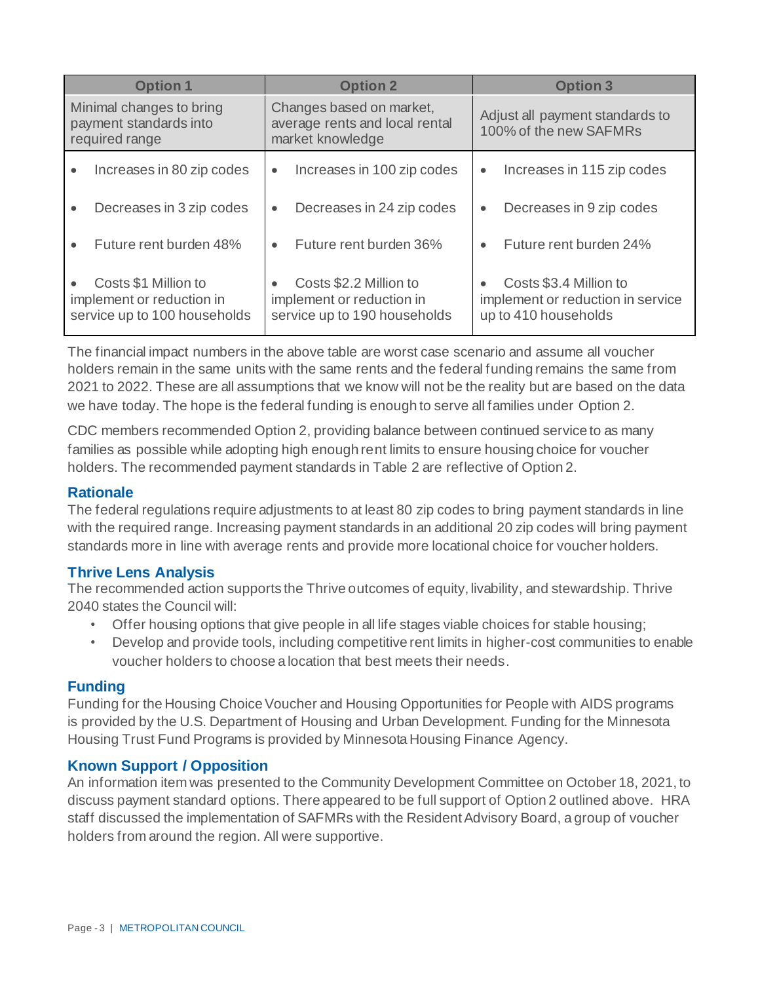| <b>Option 1</b>                                                                   | <b>Option 2</b>                                                                                  | <b>Option 3</b>                                                                     |  |  |  |  |
|-----------------------------------------------------------------------------------|--------------------------------------------------------------------------------------------------|-------------------------------------------------------------------------------------|--|--|--|--|
| Minimal changes to bring<br>payment standards into<br>required range              | Changes based on market,<br>average rents and local rental<br>market knowledge                   | Adjust all payment standards to<br>100% of the new SAFMRs                           |  |  |  |  |
| Increases in 80 zip codes<br>$\bullet$                                            | Increases in 100 zip codes<br>$\bullet$                                                          | Increases in 115 zip codes<br>$\bullet$                                             |  |  |  |  |
| Decreases in 3 zip codes<br>$\bullet$                                             | Decreases in 24 zip codes<br>$\bullet$                                                           | Decreases in 9 zip codes<br>$\bullet$                                               |  |  |  |  |
| Future rent burden 48%                                                            | Future rent burden 36%                                                                           | Future rent burden 24%<br>$\bullet$                                                 |  |  |  |  |
| Costs \$1 Million to<br>implement or reduction in<br>service up to 100 households | Costs \$2.2 Million to<br>$\bullet$<br>implement or reduction in<br>service up to 190 households | Costs \$3.4 Million to<br>implement or reduction in service<br>up to 410 households |  |  |  |  |

The financial impact numbers in the above table are worst case scenario and assume all voucher holders remain in the same units with the same rents and the federal funding remains the same from 2021 to 2022. These are all assumptions that we know will not be the reality but are based on the data we have today. The hope is the federal funding is enough to serve all families under Option 2.

CDC members recommended Option 2, providing balance between continued service to as many families as possible while adopting high enough rent limits to ensure housing choice for voucher holders. The recommended payment standards in Table 2 are reflective of Option 2.

#### **Rationale**

The federal regulations require adjustments to at least 80 zip codes to bring payment standards in line with the required range. Increasing payment standards in an additional 20 zip codes will bring payment standards more in line with average rents and provide more locational choice for voucher holders.

#### **Thrive Lens Analysis**

The recommended action supports the Thrive outcomes of equity, livability, and stewardship. Thrive 2040 states the Council will:

- Offer housing options that give people in all life stages viable choices for stable housing;
- Develop and provide tools, including competitive rent limits in higher-cost communities to enable voucher holders to choose a location that best meets their needs.

#### **Funding**

Funding for the Housing Choice Voucher and Housing Opportunities for People with AIDS programs is provided by the U.S. Department of Housing and Urban Development. Funding for the Minnesota Housing Trust Fund Programs is provided by Minnesota Housing Finance Agency.

#### **Known Support / Opposition**

An information item was presented to the Community Development Committee on October 18, 2021, to discuss payment standard options. There appeared to be full support of Option 2 outlined above. HRA staff discussed the implementation of SAFMRs with the Resident Advisory Board, a group of voucher holders from around the region. All were supportive.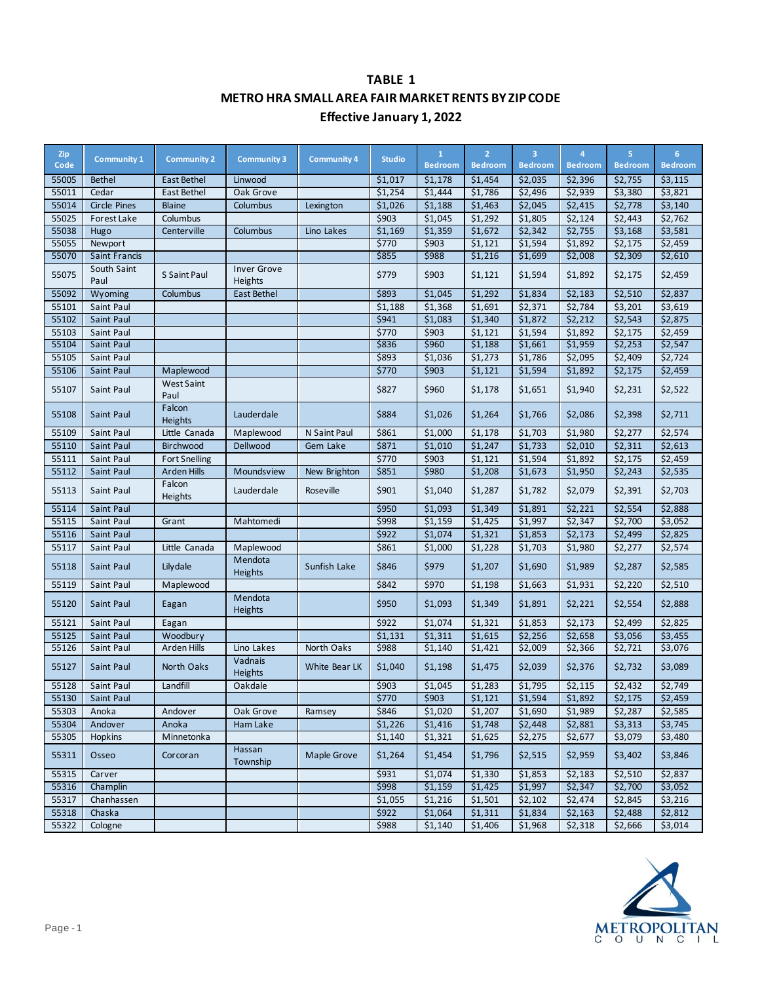### **TABLE 1 METRO HRA SMALL AREA FAIR MARKET RENTS BY ZIP CODE Effective January 1, 2022**

| Zip<br>Code | <b>Community 1</b>  | <b>Community 2</b>        | <b>Community 3</b>            | <b>Community 4</b> | <b>Studio</b> | $\mathbf{1}$<br><b>Bedroom</b> | $\overline{2}$<br><b>Bedroom</b> | $\overline{\mathbf{3}}$<br><b>Bedroom</b> | 4<br><b>Bedroom</b> | 5<br><b>Bedroom</b> | 6<br><b>Bedroom</b> |
|-------------|---------------------|---------------------------|-------------------------------|--------------------|---------------|--------------------------------|----------------------------------|-------------------------------------------|---------------------|---------------------|---------------------|
| 55005       | <b>Bethel</b>       | <b>East Bethel</b>        | Linwood                       |                    | \$1,017       | \$1,178                        | \$1,454                          | \$2,035                                   | \$2,396             | \$2,755             | \$3,115             |
| 55011       | Cedar               | East Bethel               | Oak Grove                     |                    | \$1,254       | \$1,444                        | \$1,786                          | \$2,496                                   | \$2,939             | \$3,380             | \$3,821             |
| 55014       | <b>Circle Pines</b> | <b>Blaine</b>             | Columbus                      | Lexington          | \$1,026       | \$1,188                        | \$1,463                          | \$2,045                                   | \$2,415             | \$2,778             | \$3,140             |
| 55025       | Forest Lake         | Columbus                  |                               |                    | \$903         | \$1,045                        | \$1,292                          | \$1,805                                   | \$2,124             | \$2,443             | \$2,762             |
| 55038       | Hugo                | Centerville               | Columbus                      | Lino Lakes         | \$1,169       | \$1,359                        | \$1,672                          | \$2,342                                   | \$2,755             | \$3,168             | \$3,581             |
| 55055       | Newport             |                           |                               |                    | \$770         | \$903                          | \$1,121                          | \$1,594                                   | \$1,892             | \$2,175             | \$2,459             |
| 55070       | Saint Francis       |                           |                               |                    | \$855         | \$988                          | \$1,216                          | \$1,699                                   | \$2,008             | \$2,309             | \$2,610             |
| 55075       | South Saint<br>Paul | S Saint Paul              | <b>Inver Grove</b><br>Heights |                    | \$779         | \$903                          | \$1,121                          | \$1,594                                   | \$1,892             | \$2,175             | \$2,459             |
| 55092       | Wyoming             | Columbus                  | East Bethel                   |                    | \$893         | \$1,045                        | \$1,292                          | \$1,834                                   | \$2,183             | \$2,510             | \$2,837             |
| 55101       | Saint Paul          |                           |                               |                    | \$1,188       | \$1,368                        | \$1,691                          | \$2,371                                   | \$2,784             | \$3,201             | \$3,619             |
| 55102       | Saint Paul          |                           |                               |                    | \$941         | \$1,083                        | \$1,340                          | \$1,872                                   | \$2,212             | \$2,543             | \$2,875             |
| 55103       | Saint Paul          |                           |                               |                    | \$770         | \$903                          | \$1,121                          | \$1,594                                   | \$1,892             | \$2,175             | \$2,459             |
| 55104       | Saint Paul          |                           |                               |                    | \$836         | \$960                          | \$1,188                          | \$1,661                                   | \$1,959             | \$2,253             | \$2,547             |
| 55105       | Saint Paul          |                           |                               |                    | \$893         | \$1,036                        | \$1,273                          | \$1,786                                   | \$2,095             | \$2,409             | \$2,724             |
| 55106       | Saint Paul          | Maplewood                 |                               |                    | \$770         | \$903                          | \$1,121                          | \$1,594                                   | \$1,892             | \$2,175             | \$2,459             |
| 55107       | Saint Paul          | <b>West Saint</b><br>Paul |                               |                    | \$827         | \$960                          | \$1,178                          | \$1,651                                   | \$1,940             | \$2,231             | \$2,522             |
| 55108       | Saint Paul          | Falcon<br>Heights         | Lauderdale                    |                    | \$884         | \$1,026                        | \$1,264                          | \$1,766                                   | \$2,086             | \$2,398             | \$2,711             |
| 55109       | Saint Paul          | Little Canada             | Maplewood                     | N Saint Paul       | \$861         | \$1,000                        | \$1,178                          | \$1,703                                   | \$1,980             | \$2,277             | \$2,574             |
| 55110       | Saint Paul          | Birchwood                 | Dellwood                      | Gem Lake           | \$871         | \$1,010                        | \$1,247                          | \$1,733                                   | \$2,010             | \$2,311             | \$2,613             |
| 55111       | Saint Paul          | <b>Fort Snelling</b>      |                               |                    | \$770         | \$903                          | \$1,121                          | \$1,594                                   | \$1,892             | \$2,175             | \$2,459             |
| 55112       | Saint Paul          | Arden Hills               | Moundsview                    | New Brighton       | \$851         | \$980                          | \$1,208                          | \$1,673                                   | \$1,950             | \$2,243             | \$2,535             |
| 55113       | Saint Paul          | Falcon<br>Heights         | Lauderdale                    | Roseville          | \$901         | \$1,040                        | \$1,287                          | \$1,782                                   | \$2,079             | \$2,391             | \$2,703             |
| 55114       | Saint Paul          |                           |                               |                    | \$950         | \$1,093                        | \$1,349                          | \$1,891                                   | \$2,221             | \$2,554             | \$2,888             |
| 55115       | Saint Paul          | Grant                     | Mahtomedi                     |                    | \$998         | \$1,159                        | \$1,425                          | \$1,997                                   | \$2,347             | \$2,700             | \$3,052             |
| 55116       | Saint Paul          |                           |                               |                    | \$922         | \$1,074                        | \$1,321                          | \$1,853                                   | \$2,173             | \$2,499             | \$2,825             |
| 55117       | Saint Paul          | Little Canada             | Maplewood                     |                    | \$861         | \$1,000                        | $\overline{$}1,228$              | \$1,703                                   | \$1,980             | \$2,277             | \$2,574             |
| 55118       | Saint Paul          | Lilydale                  | Mendota<br>Heights            | Sunfish Lake       | \$846         | \$979                          | \$1,207                          | \$1,690                                   | \$1,989             | \$2,287             | \$2,585             |
| 55119       | Saint Paul          | Maplewood                 |                               |                    | \$842         | \$970                          | \$1,198                          | \$1,663                                   | \$1,931             | \$2,220             | \$2,510             |
| 55120       | Saint Paul          | Eagan                     | Mendota<br>Heights            |                    | \$950         | \$1,093                        | \$1,349                          | \$1,891                                   | \$2,221             | \$2,554             | \$2,888             |
| 55121       | Saint Paul          | Eagan                     |                               |                    | \$922         | \$1,074                        | \$1,321                          | \$1,853                                   | \$2,173             | \$2,499             | \$2,825             |
| 55125       | Saint Paul          | Woodbury                  |                               |                    | \$1,131       | \$1,311                        | \$1,615                          | \$2,256                                   | \$2,658             | \$3,056             | \$3,455             |
| 55126       | Saint Paul          | Arden Hills               | Lino Lakes                    | North Oaks         | \$988         | \$1,140                        | \$1,421                          | \$2,009                                   | \$2,366             | \$2,721             | \$3,076             |
| 55127       | Saint Paul          | North Oaks                | Vadnais<br>Heights            | White Bear LK      | \$1,040       | \$1,198                        | \$1,475                          | \$2,039                                   | \$2,376             | \$2,732             | \$3,089             |
| 55128       | Saint Paul          | Landfill                  | Oakdale                       |                    | \$903         | \$1,045                        | \$1,283                          | \$1,795                                   | \$2,115             | \$2,432             | \$2,749             |
| 55130       | Saint Paul          |                           |                               |                    | \$770         | \$903                          | \$1,121                          | \$1,594                                   | \$1,892             | \$2,175             | \$2,459             |
| 55303       | Anoka               | Andover                   | Oak Grove                     | Ramsey             | \$846         | \$1,020                        | \$1,207                          | \$1,690                                   | \$1,989             | \$2,287             | \$2,585             |
| 55304       | Andover             | Anoka                     | Ham Lake                      |                    | \$1,226       | \$1,416                        | \$1,748                          | \$2,448                                   | \$2,881             | \$3,313             | \$3,745             |
| 55305       | Hopkins             | Minnetonka                |                               |                    | \$1,140       | \$1,321                        | \$1,625                          | \$2,275                                   | \$2,677             | \$3,079             | \$3,480             |
| 55311       | Osseo               | Corcoran                  | Hassan<br>Township            | Maple Grove        | \$1,264       | \$1,454                        | \$1,796                          | \$2,515                                   | \$2,959             | \$3,402             | \$3,846             |
| 55315       | Carver              |                           |                               |                    | \$931         | \$1,074                        | \$1,330                          | \$1,853                                   | \$2,183             | \$2,510             | \$2,837             |
| 55316       | Champlin            |                           |                               |                    | \$998         | \$1,159                        | \$1,425                          | \$1,997                                   | \$2,347             | \$2,700             | \$3,052             |
| 55317       | Chanhassen          |                           |                               |                    | \$1,055       | \$1,216                        | \$1,501                          | \$2,102                                   | \$2,474             | \$2,845             | \$3,216             |
| 55318       | Chaska              |                           |                               |                    | \$922         | \$1,064                        | \$1,311                          | \$1,834                                   | \$2,163             | \$2,488             | \$2,812             |
| 55322       | Cologne             |                           |                               |                    | \$988         | \$1,140                        | \$1,406                          | \$1,968                                   | \$2,318             | \$2,666             | \$3,014             |

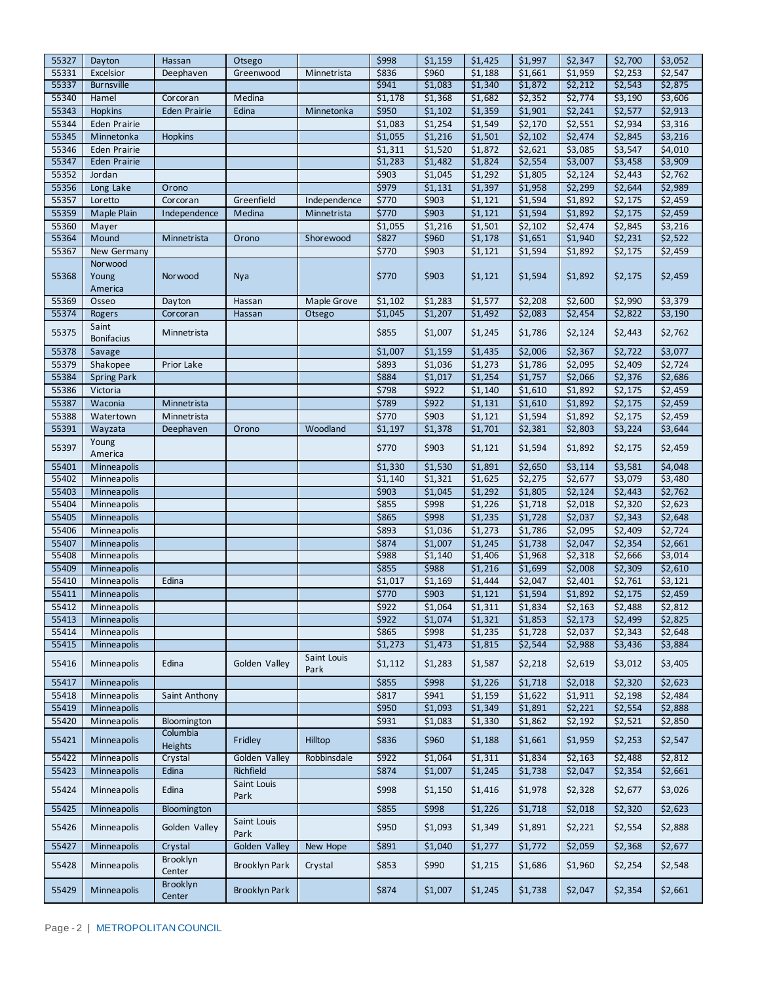| 55327 | Dayton                     | Hassan              | Otsego               |                     | \$998   | \$1,159            | \$1,425 | \$1,997            | \$2,347             | \$2,700 | \$3,052            |
|-------|----------------------------|---------------------|----------------------|---------------------|---------|--------------------|---------|--------------------|---------------------|---------|--------------------|
| 55331 | Excelsior                  | Deephaven           | Greenwood            | Minnetrista         | \$836   | \$960              | \$1,188 | \$1,661            | \$1,959             | \$2,253 | \$2,547            |
| 55337 | <b>Burnsville</b>          |                     |                      |                     | \$941   | \$1,083            | \$1,340 | \$1,872            | \$2,212             | \$2,543 | \$2,875            |
| 55340 | Hamel                      | Corcoran            | Medina               |                     | \$1,178 | \$1,368            | \$1,682 | \$2,352            | \$2,774             | \$3,190 | \$3,606            |
| 55343 | Hopkins                    | Eden Prairie        | Edina                | Minnetonka          | \$950   | \$1,102            | \$1,359 | \$1,901            | \$2,241             | \$2,577 | \$2,913            |
| 55344 | Eden Prairie               |                     |                      |                     | \$1,083 | \$1,254            | \$1,549 | \$2,170            | \$2,551             | \$2,934 | \$3,316            |
| 55345 | Minnetonka                 | <b>Hopkins</b>      |                      |                     | \$1,055 | \$1,216            | \$1,501 | \$2,102            | \$2,474             | \$2,845 | \$3,216            |
| 55346 | Eden Prairie               |                     |                      |                     | \$1,311 | \$1,520            | \$1,872 | \$2,621            | \$3,085             | \$3,547 | \$4,010            |
| 55347 | Eden Prairie               |                     |                      |                     | \$1,283 | \$1,482            | \$1,824 | \$2,554            | \$3,007             | \$3,458 | \$3,909            |
| 55352 | Jordan                     |                     |                      |                     | \$903   | \$1,045            | \$1,292 | \$1,805            | \$2,124             | \$2,443 | \$2,762            |
| 55356 | Long Lake                  | Orono               |                      |                     | \$979   | \$1,131            | \$1,397 | \$1,958            | \$2,299             | \$2,644 | \$2,989            |
| 55357 | Loretto                    | Corcoran            | Greenfield           | Independence        | \$770   | \$903              | \$1,121 | \$1,594            | \$1,892             | \$2,175 | \$2,459            |
| 55359 | Maple Plain                | Independence        | Medina               | Minnetrista         | \$770   | \$903              | \$1,121 | \$1,594            | \$1,892             | \$2,175 | \$2,459            |
| 55360 | Mayer                      |                     |                      |                     | \$1,055 | \$1,216            | \$1,501 | \$2,102            | $\overline{$}2,474$ | \$2,845 | \$3,216            |
| 55364 | Mound                      | Minnetrista         | Orono                | Shorewood           | \$827   | \$960              | \$1,178 | \$1,651            | \$1,940             | \$2,231 | \$2,522            |
| 55367 | New Germany                |                     |                      |                     | \$770   | \$903              | \$1,121 | \$1,594            | \$1,892             | \$2,175 | \$2,459            |
|       | Norwood                    |                     |                      |                     |         |                    |         |                    |                     |         |                    |
| 55368 | Young                      | Norwood             | Nya                  |                     | \$770   | \$903              | \$1,121 | \$1,594            | \$1,892             | \$2,175 | \$2,459            |
|       | America                    |                     |                      |                     |         |                    |         |                    |                     |         |                    |
| 55369 | Osseo                      | Dayton              | Hassan               | <b>Maple Grove</b>  | \$1,102 | \$1,283            | \$1,577 | \$2,208            | \$2,600             | \$2,990 | \$3,379            |
| 55374 | Rogers                     | Corcoran            | Hassan               | Otsego              | \$1,045 | \$1,207            | \$1,492 | \$2,083            | \$2,454             | \$2,822 | \$3,190            |
|       | Saint                      |                     |                      |                     |         |                    |         |                    |                     |         |                    |
| 55375 | <b>Bonifacius</b>          | Minnetrista         |                      |                     | \$855   | \$1,007            | \$1,245 | \$1,786            | \$2,124             | \$2,443 | \$2,762            |
| 55378 | Savage                     |                     |                      |                     | \$1,007 | \$1,159            | \$1,435 | \$2,006            | \$2,367             | \$2,722 | \$3,077            |
| 55379 | Shakopee                   | Prior Lake          |                      |                     | \$893   | \$1,036            | \$1,273 | \$1,786            | \$2,095             | \$2,409 | \$2,724            |
| 55384 | <b>Spring Park</b>         |                     |                      |                     | \$884   | \$1,017            | \$1,254 | \$1,757            | \$2,066             | \$2,376 | \$2,686            |
| 55386 | Victoria                   |                     |                      |                     | \$798   | \$922              | \$1,140 | \$1,610            | \$1,892             | \$2,175 | \$2,459            |
| 55387 | Waconia                    | Minnetrista         |                      |                     | \$789   | \$922              | \$1,131 | \$1,610            | \$1,892             | \$2,175 | \$2,459            |
| 55388 | Watertown                  | Minnetrista         |                      |                     | \$770   | \$903              | \$1,121 | \$1,594            | \$1,892             | \$2,175 | \$2,459            |
| 55391 | Wayzata                    | Deephaven           | Orono                | Woodland            | \$1,197 | \$1,378            | \$1,701 | \$2,381            | \$2,803             | \$3,224 | \$3,644            |
|       | Young                      |                     |                      |                     |         |                    |         |                    |                     |         |                    |
| 55397 | America                    |                     |                      |                     | \$770   | \$903              | \$1,121 | \$1,594            | \$1,892             | \$2,175 | \$2,459            |
| 55401 | Minneapolis                |                     |                      |                     | \$1,330 | \$1,530            | \$1,891 | \$2,650            | \$3,114             | \$3,581 | \$4,048            |
| 55402 | Minneapolis                |                     |                      |                     | \$1,140 | \$1,321            | \$1,625 | \$2,275            | \$2,677             | \$3,079 | \$3,480            |
| 55403 | Minneapolis                |                     |                      |                     | \$903   | \$1,045            | \$1,292 | \$1,805            | \$2,124             | \$2,443 | \$2,762            |
| 55404 | Minneapolis                |                     |                      |                     | \$855   | \$998              | \$1,226 | \$1,718            | \$2,018             | \$2,320 | \$2,623            |
| 55405 | Minneapolis                |                     |                      |                     | \$865   | \$998              | \$1,235 | \$1,728            | \$2,037             | \$2,343 | \$2,648            |
| 55406 | Minneapolis                |                     |                      |                     | \$893   | \$1,036            | \$1,273 | \$1,786            | \$2,095             | \$2,409 | \$2,724            |
| 55407 |                            |                     |                      |                     | \$874   |                    | \$1,245 |                    | \$2,047             | \$2,354 |                    |
| 55408 | Minneapolis<br>Minneapolis |                     |                      |                     | \$988   | \$1,007<br>\$1,140 | \$1,406 | \$1,738<br>\$1,968 | \$2,318             | \$2,666 | \$2,661<br>\$3,014 |
| 55409 | Minneapolis                |                     |                      |                     | \$855   | \$988              | \$1,216 | \$1,699            |                     | \$2,309 | \$2,610            |
|       |                            |                     |                      |                     |         |                    |         |                    | \$2,008             |         |                    |
| 55410 | Minneapolis                | Edina               |                      |                     | \$1,017 | \$1,169            | \$1,444 | \$2,047            | \$2,401             | \$2,761 | \$3,121            |
| 55411 | Minneapolis                |                     |                      |                     | \$770   | \$903              | \$1,121 | \$1,594            | \$1,892             | \$2,175 | \$2,459            |
| 55412 | Minneapolis                |                     |                      |                     | \$922   | \$1,064            | \$1,311 | \$1,834            | \$2,163             | \$2,488 | \$2,812            |
| 55413 | Minneapolis                |                     |                      |                     | \$922   | \$1,074            | \$1,321 | \$1,853            | \$2,173             | \$2,499 | \$2,825            |
| 55414 | Minneapolis                |                     |                      |                     | \$865   | \$998              | \$1,235 | \$1,728            | \$2,037             | \$2,343 | \$2,648            |
| 55415 | Minneapolis                |                     |                      |                     | \$1,273 | \$1,473            | \$1,815 | \$2,544            | \$2,988             | \$3,436 | \$3,884            |
| 55416 | Minneapolis                | Edina               | Golden Valley        | Saint Louis<br>Park | \$1,112 | \$1,283            | \$1,587 | \$2,218            | \$2,619             | \$3,012 | \$3,405            |
| 55417 | Minneapolis                |                     |                      |                     | \$855   | \$998              | \$1,226 | \$1,718            | \$2,018             | \$2,320 | \$2,623            |
| 55418 | Minneapolis                | Saint Anthony       |                      |                     | \$817   | \$941              | \$1,159 | \$1,622            | \$1,911             | \$2,198 | \$2,484            |
| 55419 | Minneapolis                |                     |                      |                     | \$950   | \$1,093            | \$1,349 | \$1,891            | \$2,221             | \$2,554 | \$2,888            |
| 55420 | Minneapolis                | Bloomington         |                      |                     | \$931   | \$1,083            | \$1,330 | \$1,862            | \$2,192             | \$2,521 | \$2,850            |
| 55421 | Minneapolis                | Columbia<br>Heights | Fridley              | Hilltop             | \$836   | \$960              | \$1,188 | \$1,661            | \$1,959             | \$2,253 | \$2,547            |
| 55422 | Minneapolis                | Crystal             | Golden Valley        | Robbinsdale         | \$922   | \$1,064            | \$1,311 | \$1,834            | \$2,163             | \$2,488 | \$2,812            |
| 55423 | Minneapolis                | Edina               | Richfield            |                     | \$874   | \$1,007            | \$1,245 | \$1,738            | \$2,047             | \$2,354 | \$2,661            |
|       |                            |                     | Saint Louis          |                     |         |                    |         |                    |                     |         |                    |
| 55424 | Minneapolis                | Edina               | Park                 |                     | \$998   | \$1,150            | \$1,416 | \$1,978            | \$2,328             | \$2,677 | \$3,026            |
| 55425 | Minneapolis                | Bloomington         |                      |                     | \$855   | \$998              | \$1,226 | \$1,718            | \$2,018             | \$2,320 | \$2,623            |
| 55426 | Minneapolis                | Golden Valley       | Saint Louis<br>Park  |                     | \$950   | \$1,093            | \$1,349 | \$1,891            | \$2,221             | \$2,554 | \$2,888            |
| 55427 | Minneapolis                | Crystal             | Golden Valley        | New Hope            | \$891   | \$1,040            | \$1,277 | \$1,772            | \$2,059             | \$2,368 | \$2,677            |
| 55428 | Minneapolis                | Brooklyn            | Brooklyn Park        | Crystal             | \$853   | \$990              | \$1,215 | \$1,686            | \$1,960             | \$2,254 | \$2,548            |
|       |                            | Center<br>Brooklyn  |                      |                     |         |                    |         |                    |                     |         |                    |
| 55429 | Minneapolis                | Center              | <b>Brooklyn Park</b> |                     | \$874   | \$1,007            | \$1,245 | \$1,738            | \$2,047             | \$2,354 | \$2,661            |